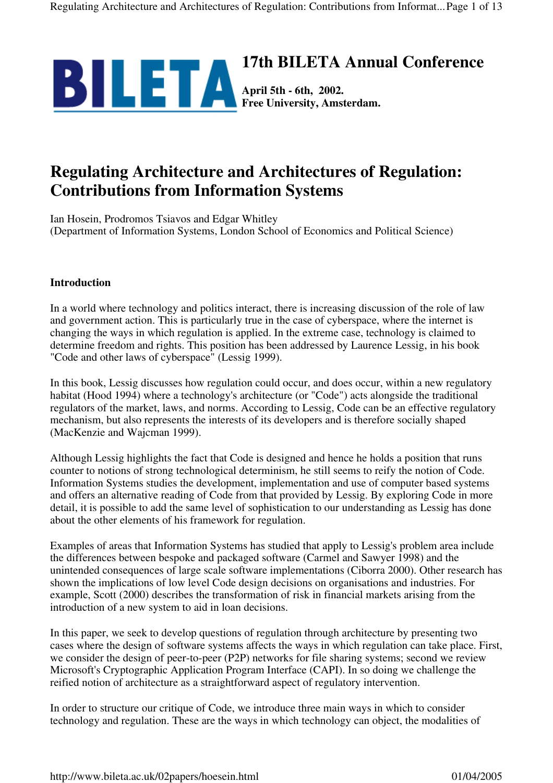

# **Regulating Architecture and Architectures of Regulation: Contributions from Information Systems**

Ian Hosein, Prodromos Tsiavos and Edgar Whitley (Department of Information Systems, London School of Economics and Political Science)

## **Introduction**

In a world where technology and politics interact, there is increasing discussion of the role of law and government action. This is particularly true in the case of cyberspace, where the internet is changing the ways in which regulation is applied. In the extreme case, technology is claimed to determine freedom and rights. This position has been addressed by Laurence Lessig, in his book "Code and other laws of cyberspace" (Lessig 1999).

In this book, Lessig discusses how regulation could occur, and does occur, within a new regulatory habitat (Hood 1994) where a technology's architecture (or "Code") acts alongside the traditional regulators of the market, laws, and norms. According to Lessig, Code can be an effective regulatory mechanism, but also represents the interests of its developers and is therefore socially shaped (MacKenzie and Wajcman 1999).

Although Lessig highlights the fact that Code is designed and hence he holds a position that runs counter to notions of strong technological determinism, he still seems to reify the notion of Code. Information Systems studies the development, implementation and use of computer based systems and offers an alternative reading of Code from that provided by Lessig. By exploring Code in more detail, it is possible to add the same level of sophistication to our understanding as Lessig has done about the other elements of his framework for regulation.

Examples of areas that Information Systems has studied that apply to Lessig's problem area include the differences between bespoke and packaged software (Carmel and Sawyer 1998) and the unintended consequences of large scale software implementations (Ciborra 2000). Other research has shown the implications of low level Code design decisions on organisations and industries. For example, Scott (2000) describes the transformation of risk in financial markets arising from the introduction of a new system to aid in loan decisions.

In this paper, we seek to develop questions of regulation through architecture by presenting two cases where the design of software systems affects the ways in which regulation can take place. First, we consider the design of peer-to-peer (P2P) networks for file sharing systems; second we review Microsoft's Cryptographic Application Program Interface (CAPI). In so doing we challenge the reified notion of architecture as a straightforward aspect of regulatory intervention.

In order to structure our critique of Code, we introduce three main ways in which to consider technology and regulation. These are the ways in which technology can object, the modalities of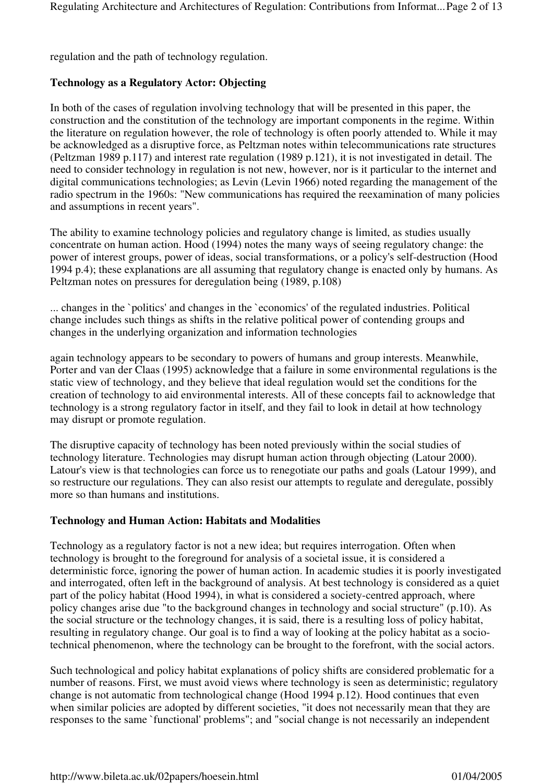regulation and the path of technology regulation.

# **Technology as a Regulatory Actor: Objecting**

In both of the cases of regulation involving technology that will be presented in this paper, the construction and the constitution of the technology are important components in the regime. Within the literature on regulation however, the role of technology is often poorly attended to. While it may be acknowledged as a disruptive force, as Peltzman notes within telecommunications rate structures (Peltzman 1989 p.117) and interest rate regulation (1989 p.121), it is not investigated in detail. The need to consider technology in regulation is not new, however, nor is it particular to the internet and digital communications technologies; as Levin (Levin 1966) noted regarding the management of the radio spectrum in the 1960s: "New communications has required the reexamination of many policies and assumptions in recent years".

The ability to examine technology policies and regulatory change is limited, as studies usually concentrate on human action. Hood (1994) notes the many ways of seeing regulatory change: the power of interest groups, power of ideas, social transformations, or a policy's self-destruction (Hood 1994 p.4); these explanations are all assuming that regulatory change is enacted only by humans. As Peltzman notes on pressures for deregulation being (1989, p.108)

... changes in the `politics' and changes in the `economics' of the regulated industries. Political change includes such things as shifts in the relative political power of contending groups and changes in the underlying organization and information technologies

again technology appears to be secondary to powers of humans and group interests. Meanwhile, Porter and van der Claas (1995) acknowledge that a failure in some environmental regulations is the static view of technology, and they believe that ideal regulation would set the conditions for the creation of technology to aid environmental interests. All of these concepts fail to acknowledge that technology is a strong regulatory factor in itself, and they fail to look in detail at how technology may disrupt or promote regulation.

The disruptive capacity of technology has been noted previously within the social studies of technology literature. Technologies may disrupt human action through objecting (Latour 2000). Latour's view is that technologies can force us to renegotiate our paths and goals (Latour 1999), and so restructure our regulations. They can also resist our attempts to regulate and deregulate, possibly more so than humans and institutions.

# **Technology and Human Action: Habitats and Modalities**

Technology as a regulatory factor is not a new idea; but requires interrogation. Often when technology is brought to the foreground for analysis of a societal issue, it is considered a deterministic force, ignoring the power of human action. In academic studies it is poorly investigated and interrogated, often left in the background of analysis. At best technology is considered as a quiet part of the policy habitat (Hood 1994), in what is considered a society-centred approach, where policy changes arise due "to the background changes in technology and social structure" (p.10). As the social structure or the technology changes, it is said, there is a resulting loss of policy habitat, resulting in regulatory change. Our goal is to find a way of looking at the policy habitat as a sociotechnical phenomenon, where the technology can be brought to the forefront, with the social actors.

Such technological and policy habitat explanations of policy shifts are considered problematic for a number of reasons. First, we must avoid views where technology is seen as deterministic; regulatory change is not automatic from technological change (Hood 1994 p.12). Hood continues that even when similar policies are adopted by different societies, "it does not necessarily mean that they are responses to the same `functional' problems"; and "social change is not necessarily an independent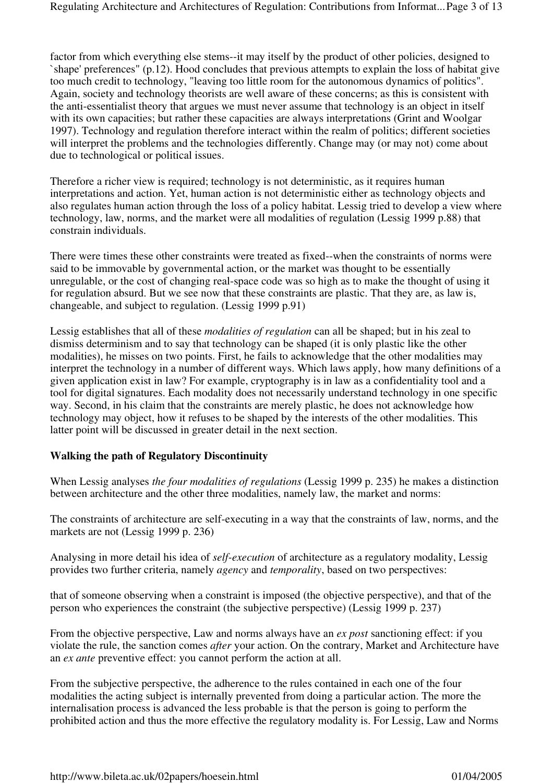factor from which everything else stems--it may itself by the product of other policies, designed to `shape' preferences" (p.12). Hood concludes that previous attempts to explain the loss of habitat give too much credit to technology, "leaving too little room for the autonomous dynamics of politics". Again, society and technology theorists are well aware of these concerns; as this is consistent with the anti-essentialist theory that argues we must never assume that technology is an object in itself with its own capacities; but rather these capacities are always interpretations (Grint and Woolgar 1997). Technology and regulation therefore interact within the realm of politics; different societies will interpret the problems and the technologies differently. Change may (or may not) come about due to technological or political issues.

Therefore a richer view is required; technology is not deterministic, as it requires human interpretations and action. Yet, human action is not deterministic either as technology objects and also regulates human action through the loss of a policy habitat. Lessig tried to develop a view where technology, law, norms, and the market were all modalities of regulation (Lessig 1999 p.88) that constrain individuals.

There were times these other constraints were treated as fixed--when the constraints of norms were said to be immovable by governmental action, or the market was thought to be essentially unregulable, or the cost of changing real-space code was so high as to make the thought of using it for regulation absurd. But we see now that these constraints are plastic. That they are, as law is, changeable, and subject to regulation. (Lessig 1999 p.91)

Lessig establishes that all of these *modalities of regulation* can all be shaped; but in his zeal to dismiss determinism and to say that technology can be shaped (it is only plastic like the other modalities), he misses on two points. First, he fails to acknowledge that the other modalities may interpret the technology in a number of different ways. Which laws apply, how many definitions of a given application exist in law? For example, cryptography is in law as a confidentiality tool and a tool for digital signatures. Each modality does not necessarily understand technology in one specific way. Second, in his claim that the constraints are merely plastic, he does not acknowledge how technology may object, how it refuses to be shaped by the interests of the other modalities. This latter point will be discussed in greater detail in the next section.

# **Walking the path of Regulatory Discontinuity**

When Lessig analyses *the four modalities of regulations* (Lessig 1999 p. 235) he makes a distinction between architecture and the other three modalities, namely law, the market and norms:

The constraints of architecture are self-executing in a way that the constraints of law, norms, and the markets are not (Lessig 1999 p. 236)

Analysing in more detail his idea of *self-execution* of architecture as a regulatory modality, Lessig provides two further criteria, namely *agency* and *temporality*, based on two perspectives:

that of someone observing when a constraint is imposed (the objective perspective), and that of the person who experiences the constraint (the subjective perspective) (Lessig 1999 p. 237)

From the objective perspective, Law and norms always have an *ex post* sanctioning effect: if you violate the rule, the sanction comes *after* your action. On the contrary, Market and Architecture have an *ex ante* preventive effect: you cannot perform the action at all.

From the subjective perspective, the adherence to the rules contained in each one of the four modalities the acting subject is internally prevented from doing a particular action. The more the internalisation process is advanced the less probable is that the person is going to perform the prohibited action and thus the more effective the regulatory modality is. For Lessig, Law and Norms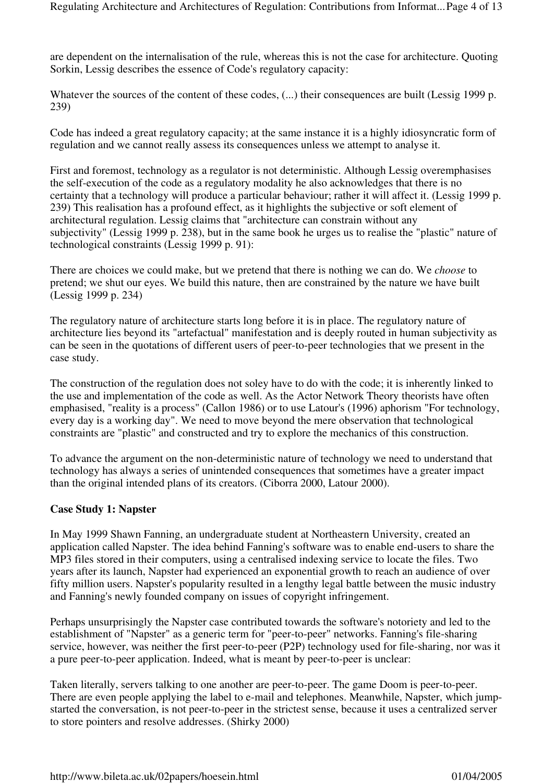are dependent on the internalisation of the rule, whereas this is not the case for architecture. Quoting Sorkin, Lessig describes the essence of Code's regulatory capacity:

Whatever the sources of the content of these codes,  $(...)$  their consequences are built (Lessig 1999 p. 239)

Code has indeed a great regulatory capacity; at the same instance it is a highly idiosyncratic form of regulation and we cannot really assess its consequences unless we attempt to analyse it.

First and foremost, technology as a regulator is not deterministic. Although Lessig overemphasises the self-execution of the code as a regulatory modality he also acknowledges that there is no certainty that a technology will produce a particular behaviour; rather it will affect it. (Lessig 1999 p. 239) This realisation has a profound effect, as it highlights the subjective or soft element of architectural regulation. Lessig claims that "architecture can constrain without any subjectivity" (Lessig 1999 p. 238), but in the same book he urges us to realise the "plastic" nature of technological constraints (Lessig 1999 p. 91):

There are choices we could make, but we pretend that there is nothing we can do. We *choose* to pretend; we shut our eyes. We build this nature, then are constrained by the nature we have built (Lessig 1999 p. 234)

The regulatory nature of architecture starts long before it is in place. The regulatory nature of architecture lies beyond its "artefactual" manifestation and is deeply routed in human subjectivity as can be seen in the quotations of different users of peer-to-peer technologies that we present in the case study.

The construction of the regulation does not soley have to do with the code; it is inherently linked to the use and implementation of the code as well. As the Actor Network Theory theorists have often emphasised, "reality is a process" (Callon 1986) or to use Latour's (1996) aphorism "For technology, every day is a working day". We need to move beyond the mere observation that technological constraints are "plastic" and constructed and try to explore the mechanics of this construction.

To advance the argument on the non-deterministic nature of technology we need to understand that technology has always a series of unintended consequences that sometimes have a greater impact than the original intended plans of its creators. (Ciborra 2000, Latour 2000).

# **Case Study 1: Napster**

In May 1999 Shawn Fanning, an undergraduate student at Northeastern University, created an application called Napster. The idea behind Fanning's software was to enable end-users to share the MP3 files stored in their computers, using a centralised indexing service to locate the files. Two years after its launch, Napster had experienced an exponential growth to reach an audience of over fifty million users. Napster's popularity resulted in a lengthy legal battle between the music industry and Fanning's newly founded company on issues of copyright infringement.

Perhaps unsurprisingly the Napster case contributed towards the software's notoriety and led to the establishment of "Napster" as a generic term for "peer-to-peer" networks. Fanning's file-sharing service, however, was neither the first peer-to-peer (P2P) technology used for file-sharing, nor was it a pure peer-to-peer application. Indeed, what is meant by peer-to-peer is unclear:

Taken literally, servers talking to one another are peer-to-peer. The game Doom is peer-to-peer. There are even people applying the label to e-mail and telephones. Meanwhile, Napster, which jumpstarted the conversation, is not peer-to-peer in the strictest sense, because it uses a centralized server to store pointers and resolve addresses. (Shirky 2000)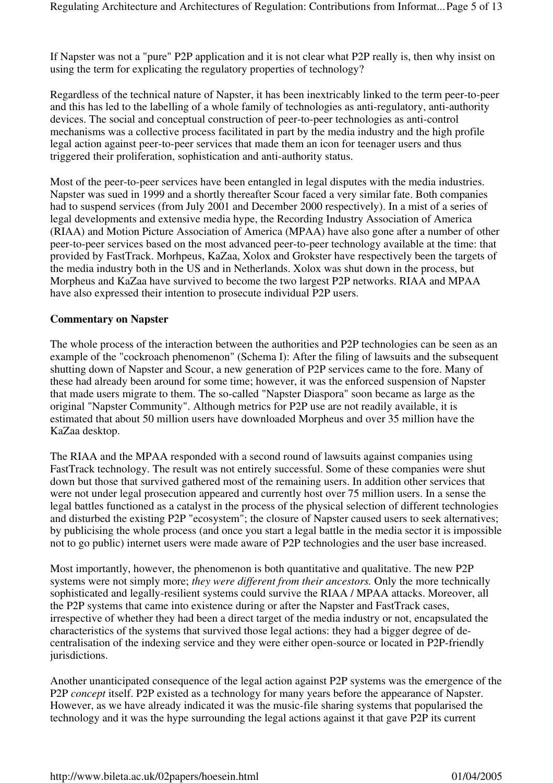If Napster was not a "pure" P2P application and it is not clear what P2P really is, then why insist on using the term for explicating the regulatory properties of technology?

Regardless of the technical nature of Napster, it has been inextricably linked to the term peer-to-peer and this has led to the labelling of a whole family of technologies as anti-regulatory, anti-authority devices. The social and conceptual construction of peer-to-peer technologies as anti-control mechanisms was a collective process facilitated in part by the media industry and the high profile legal action against peer-to-peer services that made them an icon for teenager users and thus triggered their proliferation, sophistication and anti-authority status.

Most of the peer-to-peer services have been entangled in legal disputes with the media industries. Napster was sued in 1999 and a shortly thereafter Scour faced a very similar fate. Both companies had to suspend services (from July 2001 and December 2000 respectively). In a mist of a series of legal developments and extensive media hype, the Recording Industry Association of America (RIAA) and Motion Picture Association of America (MPAA) have also gone after a number of other peer-to-peer services based on the most advanced peer-to-peer technology available at the time: that provided by FastTrack. Morhpeus, KaZaa, Xolox and Grokster have respectively been the targets of the media industry both in the US and in Netherlands. Xolox was shut down in the process, but Morpheus and KaZaa have survived to become the two largest P2P networks. RIAA and MPAA have also expressed their intention to prosecute individual P2P users.

## **Commentary on Napster**

The whole process of the interaction between the authorities and P2P technologies can be seen as an example of the "cockroach phenomenon" (Schema I): After the filing of lawsuits and the subsequent shutting down of Napster and Scour, a new generation of P2P services came to the fore. Many of these had already been around for some time; however, it was the enforced suspension of Napster that made users migrate to them. The so-called "Napster Diaspora" soon became as large as the original "Napster Community". Although metrics for P2P use are not readily available, it is estimated that about 50 million users have downloaded Morpheus and over 35 million have the KaZaa desktop.

The RIAA and the MPAA responded with a second round of lawsuits against companies using FastTrack technology. The result was not entirely successful. Some of these companies were shut down but those that survived gathered most of the remaining users. In addition other services that were not under legal prosecution appeared and currently host over 75 million users. In a sense the legal battles functioned as a catalyst in the process of the physical selection of different technologies and disturbed the existing P2P "ecosystem"; the closure of Napster caused users to seek alternatives; by publicising the whole process (and once you start a legal battle in the media sector it is impossible not to go public) internet users were made aware of P2P technologies and the user base increased.

Most importantly, however, the phenomenon is both quantitative and qualitative. The new P2P systems were not simply more; *they were different from their ancestors.* Only the more technically sophisticated and legally-resilient systems could survive the RIAA / MPAA attacks. Moreover, all the P2P systems that came into existence during or after the Napster and FastTrack cases, irrespective of whether they had been a direct target of the media industry or not, encapsulated the characteristics of the systems that survived those legal actions: they had a bigger degree of decentralisation of the indexing service and they were either open-source or located in P2P-friendly jurisdictions.

Another unanticipated consequence of the legal action against P2P systems was the emergence of the P2P *concept* itself. P2P existed as a technology for many years before the appearance of Napster. However, as we have already indicated it was the music-file sharing systems that popularised the technology and it was the hype surrounding the legal actions against it that gave P2P its current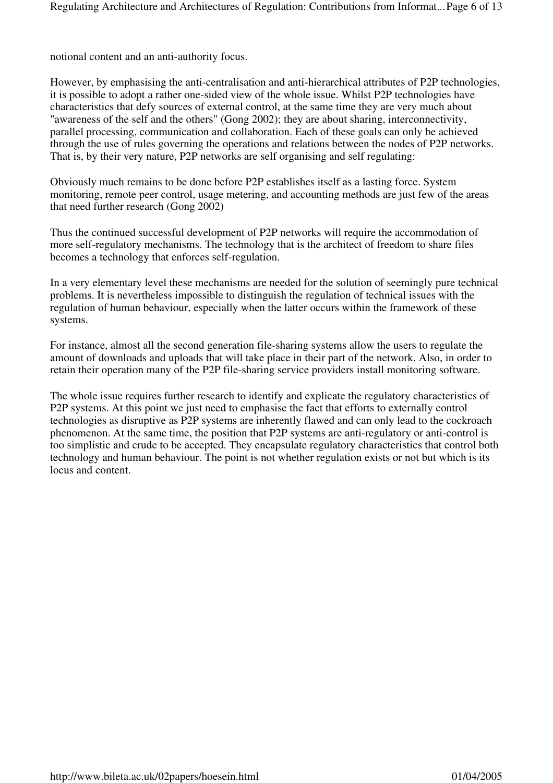notional content and an anti-authority focus.

However, by emphasising the anti-centralisation and anti-hierarchical attributes of P2P technologies, it is possible to adopt a rather one-sided view of the whole issue. Whilst P2P technologies have characteristics that defy sources of external control, at the same time they are very much about "awareness of the self and the others" (Gong 2002); they are about sharing, interconnectivity, parallel processing, communication and collaboration. Each of these goals can only be achieved through the use of rules governing the operations and relations between the nodes of P2P networks. That is, by their very nature, P2P networks are self organising and self regulating:

Obviously much remains to be done before P2P establishes itself as a lasting force. System monitoring, remote peer control, usage metering, and accounting methods are just few of the areas that need further research (Gong 2002)

Thus the continued successful development of P2P networks will require the accommodation of more self-regulatory mechanisms. The technology that is the architect of freedom to share files becomes a technology that enforces self-regulation.

In a very elementary level these mechanisms are needed for the solution of seemingly pure technical problems. It is nevertheless impossible to distinguish the regulation of technical issues with the regulation of human behaviour, especially when the latter occurs within the framework of these systems.

For instance, almost all the second generation file-sharing systems allow the users to regulate the amount of downloads and uploads that will take place in their part of the network. Also, in order to retain their operation many of the P2P file-sharing service providers install monitoring software.

The whole issue requires further research to identify and explicate the regulatory characteristics of P2P systems. At this point we just need to emphasise the fact that efforts to externally control technologies as disruptive as P2P systems are inherently flawed and can only lead to the cockroach phenomenon. At the same time, the position that P2P systems are anti-regulatory or anti-control is too simplistic and crude to be accepted. They encapsulate regulatory characteristics that control both technology and human behaviour. The point is not whether regulation exists or not but which is its locus and content.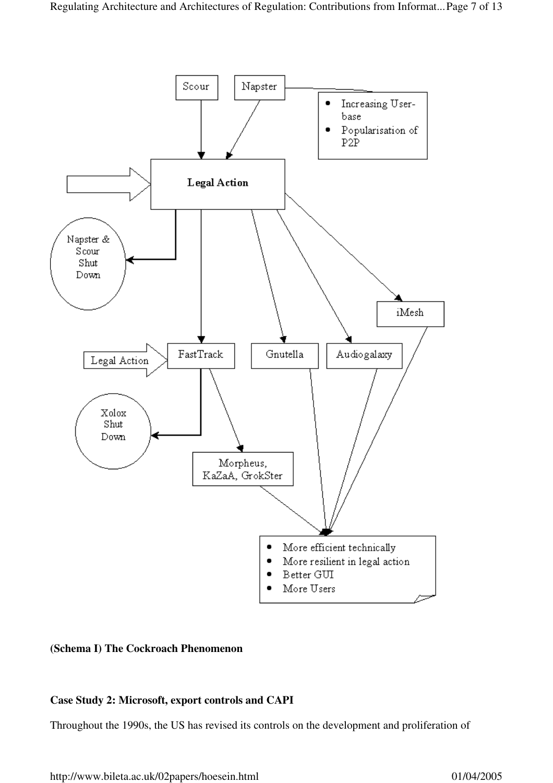

### **(Schema I) The Cockroach Phenomenon**

# **Case Study 2: Microsoft, export controls and CAPI**

Throughout the 1990s, the US has revised its controls on the development and proliferation of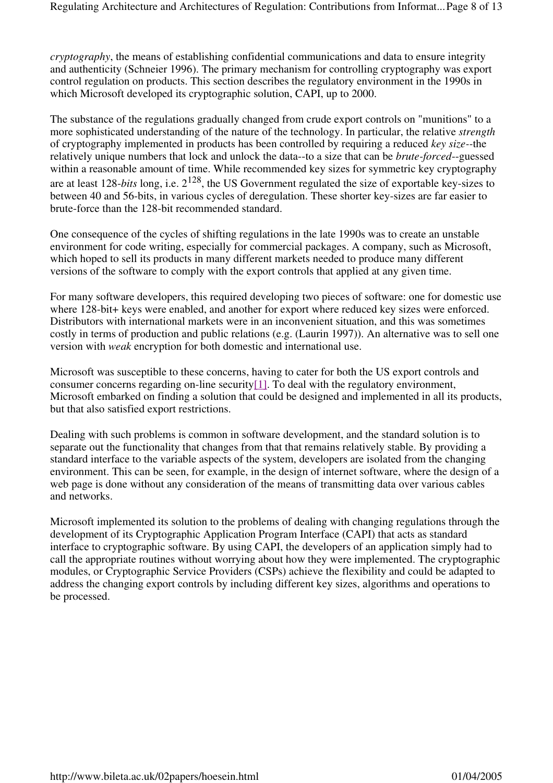*cryptography*, the means of establishing confidential communications and data to ensure integrity and authenticity (Schneier 1996). The primary mechanism for controlling cryptography was export control regulation on products. This section describes the regulatory environment in the 1990s in which Microsoft developed its cryptographic solution, CAPI, up to 2000.

The substance of the regulations gradually changed from crude export controls on "munitions" to a more sophisticated understanding of the nature of the technology. In particular, the relative *strength* of cryptography implemented in products has been controlled by requiring a reduced *key size--*the relatively unique numbers that lock and unlock the data--to a size that can be *brute-forced*--guessed within a reasonable amount of time. While recommended key sizes for symmetric key cryptography are at least 128-*bits* long, i.e. 2128, the US Government regulated the size of exportable key-sizes to between 40 and 56-bits, in various cycles of deregulation. These shorter key-sizes are far easier to brute-force than the 128-bit recommended standard.

One consequence of the cycles of shifting regulations in the late 1990s was to create an unstable environment for code writing, especially for commercial packages. A company, such as Microsoft, which hoped to sell its products in many different markets needed to produce many different versions of the software to comply with the export controls that applied at any given time.

For many software developers, this required developing two pieces of software: one for domestic use where 128-bit+ keys were enabled, and another for export where reduced key sizes were enforced. Distributors with international markets were in an inconvenient situation, and this was sometimes costly in terms of production and public relations (e.g. (Laurin 1997)). An alternative was to sell one version with *weak* encryption for both domestic and international use.

Microsoft was susceptible to these concerns, having to cater for both the US export controls and consumer concerns regarding on-line security[1]. To deal with the regulatory environment, Microsoft embarked on finding a solution that could be designed and implemented in all its products, but that also satisfied export restrictions.

Dealing with such problems is common in software development, and the standard solution is to separate out the functionality that changes from that that remains relatively stable. By providing a standard interface to the variable aspects of the system, developers are isolated from the changing environment. This can be seen, for example, in the design of internet software, where the design of a web page is done without any consideration of the means of transmitting data over various cables and networks.

Microsoft implemented its solution to the problems of dealing with changing regulations through the development of its Cryptographic Application Program Interface (CAPI) that acts as standard interface to cryptographic software. By using CAPI, the developers of an application simply had to call the appropriate routines without worrying about how they were implemented. The cryptographic modules, or Cryptographic Service Providers (CSPs) achieve the flexibility and could be adapted to address the changing export controls by including different key sizes, algorithms and operations to be processed.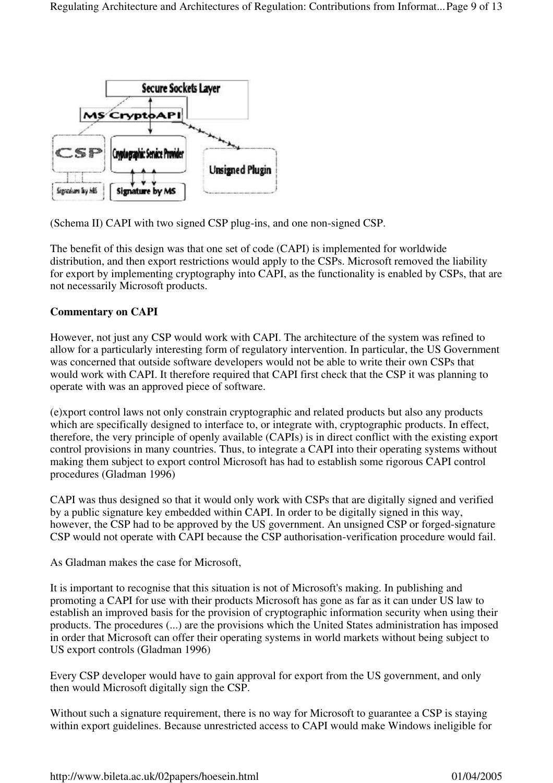

(Schema II) CAPI with two signed CSP plug-ins, and one non-signed CSP.

The benefit of this design was that one set of code (CAPI) is implemented for worldwide distribution, and then export restrictions would apply to the CSPs. Microsoft removed the liability for export by implementing cryptography into CAPI, as the functionality is enabled by CSPs, that are not necessarily Microsoft products.

## **Commentary on CAPI**

However, not just any CSP would work with CAPI. The architecture of the system was refined to allow for a particularly interesting form of regulatory intervention. In particular, the US Government was concerned that outside software developers would not be able to write their own CSPs that would work with CAPI. It therefore required that CAPI first check that the CSP it was planning to operate with was an approved piece of software.

(e)xport control laws not only constrain cryptographic and related products but also any products which are specifically designed to interface to, or integrate with, cryptographic products. In effect, therefore, the very principle of openly available (CAPIs) is in direct conflict with the existing export control provisions in many countries. Thus, to integrate a CAPI into their operating systems without making them subject to export control Microsoft has had to establish some rigorous CAPI control procedures (Gladman 1996)

CAPI was thus designed so that it would only work with CSPs that are digitally signed and verified by a public signature key embedded within CAPI. In order to be digitally signed in this way, however, the CSP had to be approved by the US government. An unsigned CSP or forged-signature CSP would not operate with CAPI because the CSP authorisation-verification procedure would fail.

As Gladman makes the case for Microsoft,

It is important to recognise that this situation is not of Microsoft's making. In publishing and promoting a CAPI for use with their products Microsoft has gone as far as it can under US law to establish an improved basis for the provision of cryptographic information security when using their products. The procedures (...) are the provisions which the United States administration has imposed in order that Microsoft can offer their operating systems in world markets without being subject to US export controls (Gladman 1996)

Every CSP developer would have to gain approval for export from the US government, and only then would Microsoft digitally sign the CSP.

Without such a signature requirement, there is no way for Microsoft to guarantee a CSP is staying within export guidelines. Because unrestricted access to CAPI would make Windows ineligible for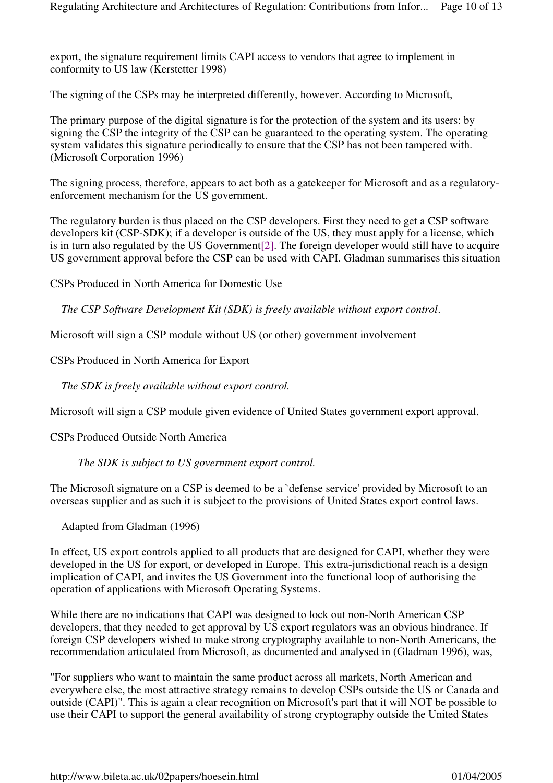export, the signature requirement limits CAPI access to vendors that agree to implement in conformity to US law (Kerstetter 1998)

The signing of the CSPs may be interpreted differently, however. According to Microsoft,

The primary purpose of the digital signature is for the protection of the system and its users: by signing the CSP the integrity of the CSP can be guaranteed to the operating system. The operating system validates this signature periodically to ensure that the CSP has not been tampered with. (Microsoft Corporation 1996)

The signing process, therefore, appears to act both as a gatekeeper for Microsoft and as a regulatoryenforcement mechanism for the US government.

The regulatory burden is thus placed on the CSP developers. First they need to get a CSP software developers kit (CSP-SDK); if a developer is outside of the US, they must apply for a license, which is in turn also regulated by the US Government  $[2]$ . The foreign developer would still have to acquire US government approval before the CSP can be used with CAPI. Gladman summarises this situation

CSPs Produced in North America for Domestic Use

 *The CSP Software Development Kit (SDK) is freely available without export control*.

Microsoft will sign a CSP module without US (or other) government involvement

CSPs Produced in North America for Export

 *The SDK is freely available without export control.* 

Microsoft will sign a CSP module given evidence of United States government export approval.

CSPs Produced Outside North America

*The SDK is subject to US government export control.* 

The Microsoft signature on a CSP is deemed to be a `defense service' provided by Microsoft to an overseas supplier and as such it is subject to the provisions of United States export control laws.

Adapted from Gladman (1996)

In effect, US export controls applied to all products that are designed for CAPI, whether they were developed in the US for export, or developed in Europe. This extra-jurisdictional reach is a design implication of CAPI, and invites the US Government into the functional loop of authorising the operation of applications with Microsoft Operating Systems.

While there are no indications that CAPI was designed to lock out non-North American CSP developers, that they needed to get approval by US export regulators was an obvious hindrance. If foreign CSP developers wished to make strong cryptography available to non-North Americans, the recommendation articulated from Microsoft, as documented and analysed in (Gladman 1996), was,

"For suppliers who want to maintain the same product across all markets, North American and everywhere else, the most attractive strategy remains to develop CSPs outside the US or Canada and outside (CAPI)". This is again a clear recognition on Microsoft's part that it will NOT be possible to use their CAPI to support the general availability of strong cryptography outside the United States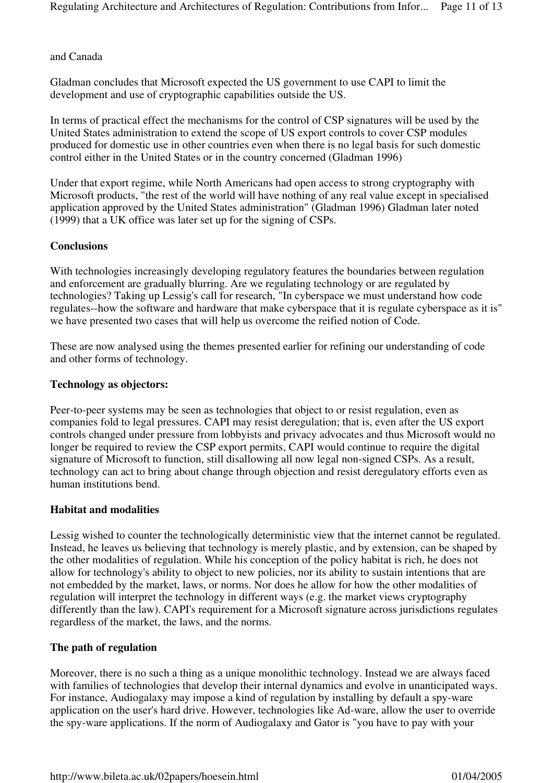### and Canada

Gladman concludes that Microsoft expected the US government to use CAPI to limit the development and use of cryptographic capabilities outside the US.

In terms of practical effect the mechanisms for the control of CSP signatures will be used by the United States administration to extend the scope of US export controls to cover CSP modules produced for domestic use in other countries even when there is no legal basis for such domestic control either in the United States or in the country concerned (Gladman 1996)

Under that export regime, while North Americans had open access to strong cryptography with Microsoft products, "the rest of the world will have nothing of any real value except in specialised application approved by the United States administration" (Gladman 1996) Gladman later noted (1999) that a UK office was later set up for the signing of CSPs.

### **Conclusions**

With technologies increasingly developing regulatory features the boundaries between regulation and enforcement are gradually blurring. Are we regulating technology or are regulated by technologies? Taking up Lessig's call for research, "In cyberspace we must understand how code regulates--how the software and hardware that make cyberspace that it is regulate cyberspace as it is" we have presented two cases that will help us overcome the reified notion of Code.

These are now analysed using the themes presented earlier for refining our understanding of code and other forms of technology.

### **Technology as objectors:**

Peer-to-peer systems may be seen as technologies that object to or resist regulation, even as companies fold to legal pressures. CAPI may resist deregulation; that is, even after the US export controls changed under pressure from lobbyists and privacy advocates and thus Microsoft would no longer be required to review the CSP export permits, CAPI would continue to require the digital signature of Microsoft to function, still disallowing all now legal non-signed CSPs. As a result, technology can act to bring about change through objection and resist deregulatory efforts even as human institutions bend.

#### **Habitat and modalities**

Lessig wished to counter the technologically deterministic view that the internet cannot be regulated. Instead, he leaves us believing that technology is merely plastic, and by extension, can be shaped by the other modalities of regulation. While his conception of the policy habitat is rich, he does not allow for technology's ability to object to new policies, nor its ability to sustain intentions that are not embedded by the market, laws, or norms. Nor does he allow for how the other modalities of regulation will interpret the technology in different ways (e.g. the market views cryptography differently than the law). CAPI's requirement for a Microsoft signature across jurisdictions regulates regardless of the market, the laws, and the norms.

### **The path of regulation**

Moreover, there is no such a thing as a unique monolithic technology. Instead we are always faced with families of technologies that develop their internal dynamics and evolve in unanticipated ways. For instance, Audiogalaxy may impose a kind of regulation by installing by default a spy-ware application on the user's hard drive. However, technologies like Ad-ware, allow the user to override the spy-ware applications. If the norm of Audiogalaxy and Gator is "you have to pay with your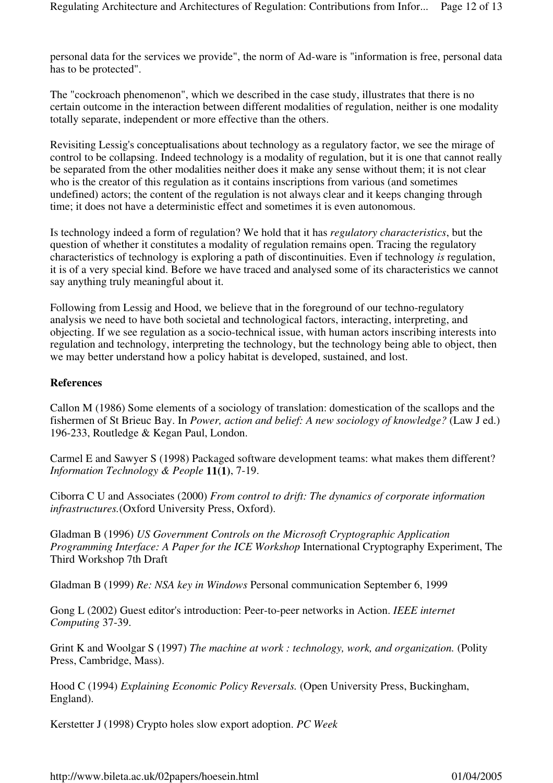personal data for the services we provide", the norm of Ad-ware is "information is free, personal data has to be protected".

The "cockroach phenomenon", which we described in the case study, illustrates that there is no certain outcome in the interaction between different modalities of regulation, neither is one modality totally separate, independent or more effective than the others.

Revisiting Lessig's conceptualisations about technology as a regulatory factor, we see the mirage of control to be collapsing. Indeed technology is a modality of regulation, but it is one that cannot really be separated from the other modalities neither does it make any sense without them; it is not clear who is the creator of this regulation as it contains inscriptions from various (and sometimes undefined) actors; the content of the regulation is not always clear and it keeps changing through time; it does not have a deterministic effect and sometimes it is even autonomous.

Is technology indeed a form of regulation? We hold that it has *regulatory characteristics*, but the question of whether it constitutes a modality of regulation remains open. Tracing the regulatory characteristics of technology is exploring a path of discontinuities. Even if technology *is* regulation, it is of a very special kind. Before we have traced and analysed some of its characteristics we cannot say anything truly meaningful about it.

Following from Lessig and Hood, we believe that in the foreground of our techno-regulatory analysis we need to have both societal and technological factors, interacting, interpreting, and objecting. If we see regulation as a socio-technical issue, with human actors inscribing interests into regulation and technology, interpreting the technology, but the technology being able to object, then we may better understand how a policy habitat is developed, sustained, and lost.

### **References**

Callon M (1986) Some elements of a sociology of translation: domestication of the scallops and the fishermen of St Brieuc Bay. In *Power, action and belief: A new sociology of knowledge?* (Law J ed.) 196-233, Routledge & Kegan Paul, London.

Carmel E and Sawyer S (1998) Packaged software development teams: what makes them different? *Information Technology & People* **11(1)**, 7-19.

Ciborra C U and Associates (2000) *From control to drift: The dynamics of corporate information infrastructures.*(Oxford University Press, Oxford).

Gladman B (1996) *US Government Controls on the Microsoft Cryptographic Application Programming Interface: A Paper for the ICE Workshop International Cryptography Experiment, The* Third Workshop 7th Draft

Gladman B (1999) *Re: NSA key in Windows* Personal communication September 6, 1999

Gong L (2002) Guest editor's introduction: Peer-to-peer networks in Action. *IEEE internet Computing* 37-39.

Grint K and Woolgar S (1997) *The machine at work : technology, work, and organization.* (Polity Press, Cambridge, Mass).

Hood C (1994) *Explaining Economic Policy Reversals.* (Open University Press, Buckingham, England).

Kerstetter J (1998) Crypto holes slow export adoption. *PC Week*